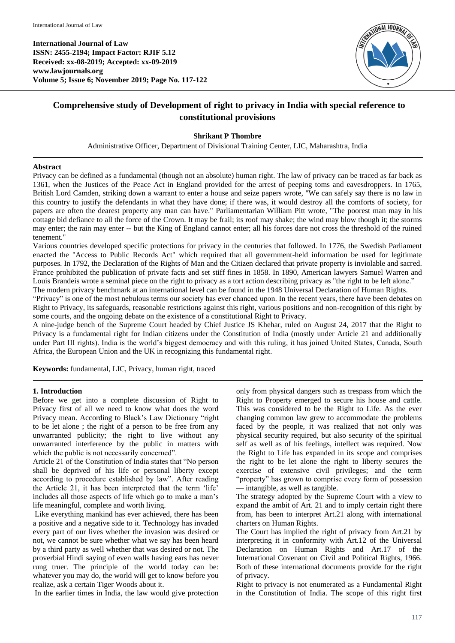**International Journal of Law ISSN: 2455-2194; Impact Factor: RJIF 5.12 Received: xx-08-2019; Accepted: xx-09-2019 www.lawjournals.org Volume 5; Issue 6; November 2019; Page No. 117-122**



# **Comprehensive study of Development of right to privacy in India with special reference to constitutional provisions**

### **Shrikant P Thombre**

Administrative Officer, Department of Divisional Training Center, LIC, Maharashtra, India

#### **Abstract**

Privacy can be defined as a fundamental (though not an absolute) human right. The law of privacy can be traced as far back as 1361, when the Justices of the Peace Act in England provided for the arrest of peeping toms and eavesdroppers. In 1765, British Lord Camden, striking down a warrant to enter a house and seize papers wrote, "We can safely say there is no law in this country to justify the defendants in what they have done; if there was, it would destroy all the comforts of society, for papers are often the dearest property any man can have." Parliamentarian William Pitt wrote, "The poorest man may in his cottage bid defiance to all the force of the Crown. It may be frail; its roof may shake; the wind may blow though it; the storms may enter; the rain may enter -- but the King of England cannot enter; all his forces dare not cross the threshold of the ruined tenement."

Various countries developed specific protections for privacy in the centuries that followed. In 1776, the Swedish Parliament enacted the "Access to Public Records Act" which required that all government-held information be used for legitimate purposes. In 1792, the Declaration of the Rights of Man and the Citizen declared that private property is inviolable and sacred. France prohibited the publication of private facts and set stiff fines in 1858. In 1890, American lawyers Samuel Warren and Louis Brandeis wrote a seminal piece on the right to privacy as a tort action describing privacy as "the right to be left alone." The modern privacy benchmark at an international level can be found in the 1948 Universal Declaration of Human Rights.

"Privacy" is one of the most nebulous terms our society has ever chanced upon. In the recent years, there have been debates on Right to Privacy, its safeguards, reasonable restrictions against this right, various positions and non-recognition of this right by some courts, and the ongoing debate on the existence of a constitutional Right to Privacy.

A nine-judge bench of the Supreme Court headed by Chief Justice JS Khehar, ruled on August 24, 2017 that the Right to Privacy is a fundamental right for Indian citizens under the Constitution of India (mostly under Article 21 and additionally under Part III rights). India is the world's biggest democracy and with this ruling, it has joined United States, Canada, South Africa, the European Union and the UK in recognizing this fundamental right.

**Keywords:** fundamental, LIC, Privacy, human right, traced

#### **1. Introduction**

Before we get into a complete discussion of Right to Privacy first of all we need to know what does the word Privacy mean. According to Black's Law Dictionary "right to be let alone ; the right of a person to be free from any unwarranted publicity; the right to live without any unwarranted interference by the public in matters with which the public is not necessarily concerned".

Article 21 of the Constitution of India states that "No person shall be deprived of his life or personal liberty except according to procedure established by law". After reading the Article 21, it has been interpreted that the term 'life' includes all those aspects of life which go to make a man's life meaningful, complete and worth living.

Like everything mankind has ever achieved, there has been a positive and a negative side to it. Technology has invaded every part of our lives whether the invasion was desired or not, we cannot be sure whether what we say has been heard by a third party as well whether that was desired or not. The proverbial Hindi saying of even walls having ears has never rung truer. The principle of the world today can be: whatever you may do, the world will get to know before you realize, ask a certain Tiger Woods about it.

In the earlier times in India, the law would give protection

only from physical dangers such as trespass from which the Right to Property emerged to secure his house and cattle. This was considered to be the Right to Life. As the ever changing common law grew to accommodate the problems faced by the people, it was realized that not only was physical security required, but also security of the spiritual self as well as of his feelings, intellect was required. Now the Right to Life has expanded in its scope and comprises the right to be let alone the right to liberty secures the exercise of extensive civil privileges; and the term "property" has grown to comprise every form of possession — intangible, as well as tangible.

The strategy adopted by the Supreme Court with a view to expand the ambit of Art. 21 and to imply certain right there from, has been to interpret Art.21 along with international charters on Human Rights.

The Court has implied the right of privacy from Art.21 by interpreting it in conformity with Art.12 of the Universal Declaration on Human Rights and Art.17 of the International Covenant on Civil and Political Rights, 1966. Both of these international documents provide for the right of privacy.

Right to privacy is not enumerated as a Fundamental Right in the Constitution of India. The scope of this right first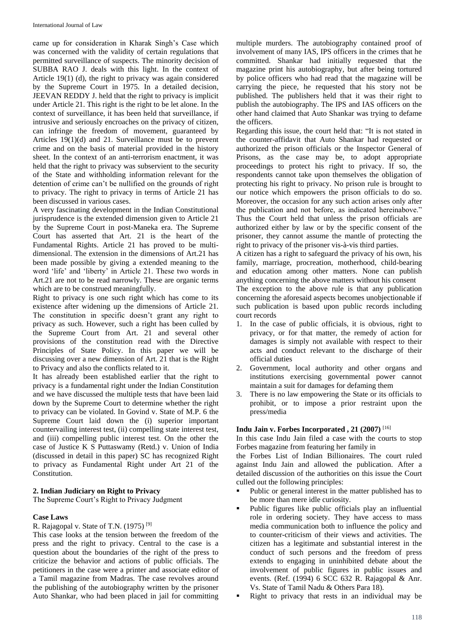came up for consideration in Kharak Singh's Case which was concerned with the validity of certain regulations that permitted surveillance of suspects. The minority decision of SUBBA RAO J. deals with this light. In the context of Article 19(1) (d), the right to privacy was again considered by the Supreme Court in 1975. In a detailed decision, JEEVAN REDDY J. held that the right to privacy is implicit under Article 21. This right is the right to be let alone. In the context of surveillance, it has been held that surveillance, if intrusive and seriously encroaches on the privacy of citizen, can infringe the freedom of movement, guaranteed by Articles 19(1)(d) and 21. Surveillance must be to prevent crime and on the basis of material provided in the history sheet. In the context of an anti-terrorism enactment, it was held that the right to privacy was subservient to the security of the State and withholding information relevant for the detention of crime can't be nullified on the grounds of right to privacy. The right to privacy in terms of Article 21 has been discussed in various cases.

A very fascinating development in the Indian Constitutional jurisprudence is the extended dimension given to Article 21 by the Supreme Court in post-Maneka era. The Supreme Court has asserted that Art. 21 is the heart of the Fundamental Rights. Article 21 has proved to be multidimensional. The extension in the dimensions of Art.21 has been made possible by giving a extended meaning to the word 'life' and 'liberty' in Article 21. These two words in Art.21 are not to be read narrowly. These are organic terms which are to be construed meaningfully.

Right to privacy is one such right which has come to its existence after widening up the dimensions of Article 21. The constitution in specific doesn't grant any right to privacy as such. However, such a right has been culled by the Supreme Court from Art. 21 and several other provisions of the constitution read with the Directive Principles of State Policy. In this paper we will be discussing over a new dimension of Art. 21 that is the Right to Privacy and also the conflicts related to it.

It has already been established earlier that the right to privacy is a fundamental right under the Indian Constitution and we have discussed the multiple tests that have been laid down by the Supreme Court to determine whether the right to privacy can be violated. In Govind v. State of M.P. 6 the Supreme Court laid down the (i) superior important countervailing interest test, (ii) compelling state interest test, and (iii) compelling public interest test. On the other the case of Justice K S Puttaswamy (Retd.) v. Union of India (discussed in detail in this paper) SC has recognized Right to privacy as Fundamental Right under Art 21 of the Constitution.

#### **2. Indian Judiciary on Right to Privacy**

The Supreme Court's Right to Privacy Judgment

#### **Case Laws**

R. Rajagopal v. State of T.N. (1975) [9]

This case looks at the tension between the freedom of the press and the right to privacy. Central to the case is a question about the boundaries of the right of the press to criticize the behavior and actions of public officials. The petitioners in the case were a printer and associate editor of a Tamil magazine from Madras. The case revolves around the publishing of the autobiography written by the prisoner Auto Shankar, who had been placed in jail for committing

multiple murders. The autobiography contained proof of involvement of many IAS, IPS officers in the crimes that he committed. Shankar had initially requested that the magazine print his autobiography, but after being tortured by police officers who had read that the magazine will be carrying the piece, he requested that his story not be published. The publishers held that it was their right to publish the autobiography. The IPS and IAS officers on the other hand claimed that Auto Shankar was trying to defame the officers.

Regarding this issue, the court held that: "It is not stated in the counter-affidavit that Auto Shankar had requested or authorized the prison officials or the Inspector General of Prisons, as the case may be, to adopt appropriate proceedings to protect his right to privacy. If so, the respondents cannot take upon themselves the obligation of protecting his right to privacy. No prison rule is brought to our notice which empowers the prison officials to do so. Moreover, the occasion for any such action arises only after the publication and not before, as indicated hereinabove." Thus the Court held that unless the prison officials are authorized either by law or by the specific consent of the prisoner, they cannot assume the mantle of protecting the right to privacy of the prisoner vis-à-vis third parties.

A citizen has a right to safeguard the privacy of his own, his family, marriage, procreation, motherhood, child-bearing and education among other matters. None can publish anything concerning the above matters without his consent The exception to the above rule is that any publication concerning the aforesaid aspects becomes unobjectionable if such publication is based upon public records including court records

- 1. In the case of public officials, it is obvious, right to privacy, or for that matter, the remedy of action for damages is simply not available with respect to their acts and conduct relevant to the discharge of their official duties
- 2. Government, local authority and other organs and institutions exercising governmental power cannot maintain a suit for damages for defaming them
- 3. There is no law empowering the State or its officials to prohibit, or to impose a prior restraint upon the press/media

#### **Indu Jain v. Forbes Incorporated , 21 (2007)** [16]

In this case Indu Jain filed a case with the courts to stop Forbes magazine from featuring her family in

the Forbes List of Indian Billionaires. The court ruled against Indu Jain and allowed the publication. After a detailed discussion of the authorities on this issue the Court culled out the following principles:

- Public or general interest in the matter published has to be more than mere idle curiosity.
- Public figures like public officials play an influential role in ordering society. They have access to mass media communication both to influence the policy and to counter-criticism of their views and activities. The citizen has a legitimate and substantial interest in the conduct of such persons and the freedom of press extends to engaging in uninhibited debate about the involvement of public figures in public issues and events. (Ref. (1994) 6 SCC 632 R. Rajagopal & Anr. Vs. State of Tamil Nadu & Others Para 18).
- Right to privacy that rests in an individual may be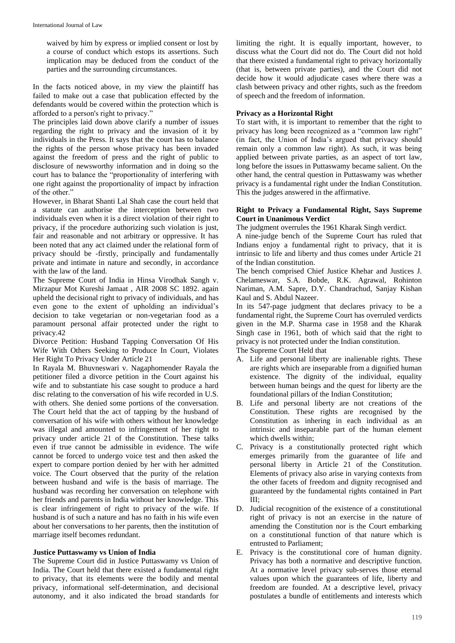waived by him by express or implied consent or lost by a course of conduct which estops its assertions. Such implication may be deduced from the conduct of the parties and the surrounding circumstances.

In the facts noticed above, in my view the plaintiff has failed to make out a case that publication effected by the defendants would be covered within the protection which is afforded to a person's right to privacy."

The principles laid down above clarify a number of issues regarding the right to privacy and the invasion of it by individuals in the Press. It says that the court has to balance the rights of the person whose privacy has been invaded against the freedom of press and the right of public to disclosure of newsworthy information and in doing so the court has to balance the "proportionality of interfering with one right against the proportionality of impact by infraction of the other."

However, in Bharat Shanti Lal Shah case the court held that a statute can authorise the interception between two individuals even when it is a direct violation of their right to privacy, if the procedure authorizing such violation is just, fair and reasonable and not arbitrary or oppressive. It has been noted that any act claimed under the relational form of privacy should be -firstly, principally and fundamentally private and intimate in nature and secondly, in accordance with the law of the land.

The Supreme Court of India in Hinsa Virodhak Sangh v. Mirzapur Mot Kureshi Jamaat , AIR 2008 SC 1892. again upheld the decisional right to privacy of individuals, and has even gone to the extent of upholding an individual's decision to take vegetarian or non-vegetarian food as a paramount personal affair protected under the right to privacy.42

Divorce Petition: Husband Tapping Conversation Of His Wife With Others Seeking to Produce In Court, Violates Her Right To Privacy Under Article 21

In Rayala M. Bhuvneswari v. Nagaphomender Rayala the petitioner filed a divorce petition in the Court against his wife and to substantiate his case sought to produce a hard disc relating to the conversation of his wife recorded in U.S. with others. She denied some portions of the conversation. The Court held that the act of tapping by the husband of conversation of his wife with others without her knowledge was illegal and amounted to infringement of her right to privacy under article 21 of the Constitution. These talks even if true cannot be admissible in evidence. The wife cannot be forced to undergo voice test and then asked the expert to compare portion denied by her with her admitted voice. The Court observed that the purity of the relation between husband and wife is the basis of marriage. The husband was recording her conversation on telephone with her friends and parents in India without her knowledge. This is clear infringement of right to privacy of the wife. If husband is of such a nature and has no faith in his wife even about her conversations to her parents, then the institution of marriage itself becomes redundant.

#### **Justice Puttaswamy vs Union of India**

The Supreme Court did in Justice Puttaswamy vs Union of India. The Court held that there existed a fundamental right to privacy, that its elements were the bodily and mental privacy, informational self-determination, and decisional autonomy, and it also indicated the broad standards for

limiting the right. It is equally important, however, to discuss what the Court did not do. The Court did not hold that there existed a fundamental right to privacy horizontally (that is, between private parties), and the Court did not decide how it would adjudicate cases where there was a clash between privacy and other rights, such as the freedom of speech and the freedom of information.

## **Privacy as a Horizontal Right**

To start with, it is important to remember that the right to privacy has long been recognized as a "common law right" (in fact, the Union of India's argued that privacy should remain only a common law right). As such, it was being applied between private parties, as an aspect of tort law, long before the issues in Puttaswamy became salient. On the other hand, the central question in Puttaswamy was whether privacy is a fundamental right under the Indian Constitution. This the judges answered in the affirmative.

#### **Right to Privacy a Fundamental Right, Says Supreme Court in Unanimous Verdict**

The judgment overrules the 1961 Kharak Singh verdict.

A nine-judge bench of the Supreme Court has ruled that Indians enjoy a fundamental right to privacy, that it is intrinsic to life and liberty and thus comes under Article 21 of the Indian constitution.

The bench comprised Chief Justice Khehar and Justices J. Chelameswar, S.A. Bobde, R.K. Agrawal, Rohinton Nariman, A.M. Sapre, D.Y. Chandrachud, Sanjay Kishan Kaul and S. Abdul Nazeer.

In its 547-page judgment that declares privacy to be a fundamental right, the Supreme Court has overruled verdicts given in the M.P. Sharma case in 1958 and the Kharak Singh case in 1961, both of which said that the right to privacy is not protected under the Indian constitution. The Supreme Court Held that

- A. Life and personal liberty are inalienable rights. These are rights which are inseparable from a dignified human existence. The dignity of the individual, equality between human beings and the quest for liberty are the foundational pillars of the Indian Constitution;
- B. Life and personal liberty are not creations of the Constitution. These rights are recognised by the Constitution as inhering in each individual as an intrinsic and inseparable part of the human element which dwells within;
- C. Privacy is a constitutionally protected right which emerges primarily from the guarantee of life and personal liberty in Article 21 of the Constitution. Elements of privacy also arise in varying contexts from the other facets of freedom and dignity recognised and guaranteed by the fundamental rights contained in Part III;
- D. Judicial recognition of the existence of a constitutional right of privacy is not an exercise in the nature of amending the Constitution nor is the Court embarking on a constitutional function of that nature which is entrusted to Parliament;
- E. Privacy is the constitutional core of human dignity. Privacy has both a normative and descriptive function. At a normative level privacy sub-serves those eternal values upon which the guarantees of life, liberty and freedom are founded. At a descriptive level, privacy postulates a bundle of entitlements and interests which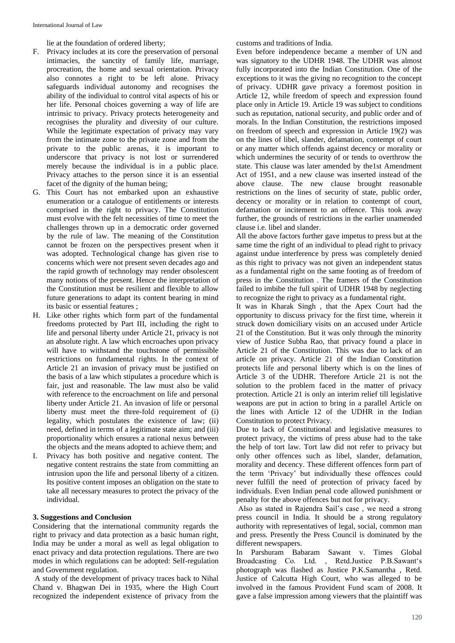lie at the foundation of ordered liberty;

- F. Privacy includes at its core the preservation of personal intimacies, the sanctity of family life, marriage, procreation, the home and sexual orientation. Privacy also connotes a right to be left alone. Privacy safeguards individual autonomy and recognises the ability of the individual to control vital aspects of his or her life. Personal choices governing a way of life are intrinsic to privacy. Privacy protects heterogeneity and recognises the plurality and diversity of our culture. While the legitimate expectation of privacy may vary from the intimate zone to the private zone and from the private to the public arenas, it is important to underscore that privacy is not lost or surrendered merely because the individual is in a public place. Privacy attaches to the person since it is an essential facet of the dignity of the human being;
- G. This Court has not embarked upon an exhaustive enumeration or a catalogue of entitlements or interests comprised in the right to privacy. The Constitution must evolve with the felt necessities of time to meet the challenges thrown up in a democratic order governed by the rule of law. The meaning of the Constitution cannot be frozen on the perspectives present when it was adopted. Technological change has given rise to concerns which were not present seven decades ago and the rapid growth of technology may render obsolescent many notions of the present. Hence the interpretation of the Constitution must be resilient and flexible to allow future generations to adapt its content bearing in mind its basic or essential features ;
- H. Like other rights which form part of the fundamental freedoms protected by Part III, including the right to life and personal liberty under Article 21, privacy is not an absolute right. A law which encroaches upon privacy will have to withstand the touchstone of permissible restrictions on fundamental rights. In the context of Article 21 an invasion of privacy must be justified on the basis of a law which stipulates a procedure which is fair, just and reasonable. The law must also be valid with reference to the encroachment on life and personal liberty under Article 21. An invasion of life or personal liberty must meet the three-fold requirement of (i) legality, which postulates the existence of law; (ii) need, defined in terms of a legitimate state aim; and (iii) proportionality which ensures a rational nexus between the objects and the means adopted to achieve them; and
- I. Privacy has both positive and negative content. The negative content restrains the state from committing an intrusion upon the life and personal liberty of a citizen. Its positive content imposes an obligation on the state to take all necessary measures to protect the privacy of the individual.

#### **3. Suggestions and Conclusion**

Considering that the international community regards the right to privacy and data protection as a basic human right, India may be under a moral as well as legal obligation to enact privacy and data protection regulations. There are two modes in which regulations can be adopted: Self-regulation and Government regulation.

A study of the development of privacy traces back to Nihal Chand v. Bhagwan Dei in 1935, where the High Court recognized the independent existence of privacy from the

customs and traditions of India.

Even before independence became a member of UN and was signatory to the UDHR 1948. The UDHR was almost fully incorporated into the Indian Constitution. One of the exceptions to it was the giving no recognition to the concept of privacy. UDHR gave privacy a foremost position in Article 12, while freedom of speech and expression found place only in Article 19. Article 19 was subject to conditions such as reputation, national security, and public order and of morals. In the Indian Constitution, the restrictions imposed on freedom of speech and expression in Article 19(2) was on the lines of libel, slander, defamation, contempt of court or any matter which offends against decency or morality or which undermines the security of or tends to overthrow the state. This clause was later amended by the1st Amendment Act of 1951, and a new clause was inserted instead of the above clause. The new clause brought reasonable restrictions on the lines of security of state, public order, decency or morality or in relation to contempt of court, defamation or incitement to an offence. This took away further, the grounds of restrictions in the earlier unamended clause i.e. libel and slander.

All the above factors further gave impetus to press but at the same time the right of an individual to plead right to privacy against undue interference by press was completely denied as this right to privacy was not given an independent status as a fundamental right on the same footing as of freedom of press in the Constitution . The framers of the Constitution failed to imbibe the full spirit of UDHR 1948 by neglecting to recognize the right to privacy as a fundamental right.

It was in Kharak Singh , that the Apex Court had the opportunity to discuss privacy for the first time, wherein it struck down domiciliary visits on an accused under Article 21 of the Constitution. But it was only through the minority view of Justice Subha Rao, that privacy found a place in Article 21 of the Constitution. This was due to lack of an article on privacy. Article 21 of the Indian Constitution protects life and personal liberty which is on the lines of Article 3 of the UDHR. Therefore Article 21 is not the solution to the problem faced in the matter of privacy protection. Article 21 is only an interim relief till legislative weapons are put in action to bring in a parallel Article on the lines with Article 12 of the UDHR in the Indian Constitution to protect Privacy.

Due to lack of Constitutional and legislative measures to protect privacy, the victims of press abuse had to the take the help of tort law. Tort law did not refer to privacy but only other offences such as libel, slander, defamation, morality and decency. These different offences form part of the term 'Privacy' but individually these offences could never fulfill the need of protection of privacy faced by individuals. Even Indian penal code allowed punishment or penalty for the above offences but not for privacy.

Also as stated in Rajendra Sail's case , we need a strong press council in India. It should be a strong regulatory authority with representatives of legal, social, common man and press. Presently the Press Council is dominated by the different newspapers.

In Parshuram Babaram Sawant v. Times Global Broadcasting Co. Ltd. , Retd.Justice P.B.Sawant's photograph was flashed as Justice P.K.Samantha , Retd. Justice of Calcutta High Court, who was alleged to be involved in the famous Provident Fund scam of 2008. It gave a false impression among viewers that the plaintiff was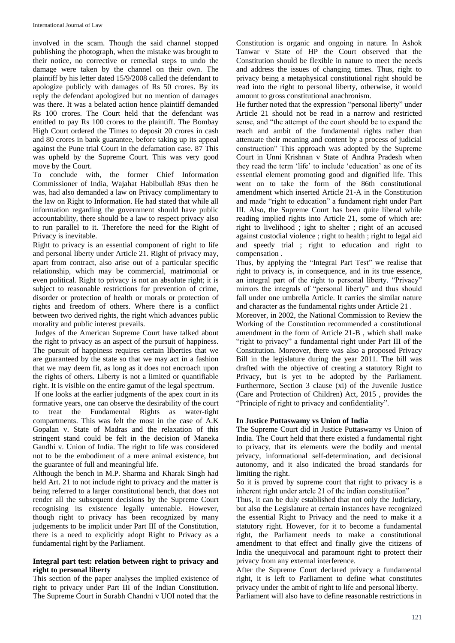involved in the scam. Though the said channel stopped publishing the photograph, when the mistake was brought to their notice, no corrective or remedial steps to undo the damage were taken by the channel on their own. The plaintiff by his letter dated 15/9/2008 called the defendant to apologize publicly with damages of Rs 50 crores. By its reply the defendant apologized but no mention of damages was there. It was a belated action hence plaintiff demanded Rs 100 crores. The Court held that the defendant was entitled to pay Rs 100 crores to the plaintiff. The Bombay High Court ordered the Times to deposit 20 crores in cash and 80 crores in bank guarantee, before taking up its appeal against the Pune trial Court in the defamation case. 87 This was upheld by the Supreme Court. This was very good move by the Court.

To conclude with, the former Chief Information Commissioner of India, Wajahat Habibullah 89as then he was, had also demanded a law on Privacy complimentary to the law on Right to Information. He had stated that while all information regarding the government should have public accountability, there should be a law to respect privacy also to run parallel to it. Therefore the need for the Right of Privacy is inevitable.

Right to privacy is an essential component of right to life and personal liberty under Article 21. Right of privacy may, apart from contract, also arise out of a particular specific relationship, which may be commercial, matrimonial or even political. Right to privacy is not an absolute right; it is subject to reasonable restrictions for prevention of crime, disorder or protection of health or morals or protection of rights and freedom of others. Where there is a conflict between two derived rights, the right which advances public morality and public interest prevails.

Judges of the American Supreme Court have talked about the right to privacy as an aspect of the pursuit of happiness. The pursuit of happiness requires certain liberties that we are guaranteed by the state so that we may act in a fashion that we may deem fit, as long as it does not encroach upon the rights of others. Liberty is not a limited or quantifiable right. It is visible on the entire gamut of the legal spectrum.

If one looks at the earlier judgments of the apex court in its formative years, one can observe the desirability of the court to treat the Fundamental Rights as water-tight compartments. This was felt the most in the case of A.K Gopalan v. State of Madras and the relaxation of this stringent stand could be felt in the decision of Maneka Gandhi v. Union of India. The right to life was considered not to be the embodiment of a mere animal existence, but the guarantee of full and meaningful life.

Although the bench in M.P. Sharma and Kharak Singh had held Art. 21 to not include right to privacy and the matter is being referred to a larger constitutional bench, that does not render all the subsequent decisions by the Supreme Court recognising its existence legally untenable. However, though right to privacy has been recognized by many judgements to be implicit under Part III of the Constitution, there is a need to explicitly adopt Right to Privacy as a fundamental right by the Parliament.

## **Integral part test: relation between right to privacy and right to personal liberty**

This section of the paper analyses the implied existence of right to privacy under Part III of the Indian Constitution. The Supreme Court in Surabh Chandni v UOI noted that the Constitution is organic and ongoing in nature. In Ashok Tanwar v State of HP the Court observed that the Constitution should be flexible in nature to meet the needs and address the issues of changing times. Thus, right to privacy being a metaphysical constitutional right should be read into the right to personal liberty, otherwise, it would amount to gross constitutional anachronism.

He further noted that the expression "personal liberty" under Article 21 should not be read in a narrow and restricted sense, and "the attempt of the court should be to expand the reach and ambit of the fundamental rights rather than attenuate their meaning and content by a process of judicial construction" This approach was adopted by the Supreme Court in Unni Krishnan v State of Andhra Pradesh when they read the term 'life' to include 'education' as one of its essential element promoting good and dignified life. This went on to take the form of the 86th constitutional amendment which inserted Article 21-A in the Constitution and made "right to education" a fundament right under Part III. Also, the Supreme Court has been quite liberal while reading implied rights into Article 21, some of which are: right to livelihood ; ight to shelter ; right of an accused against custodial violence ; right to health ; right to legal aid and speedy trial ; right to education and right to compensation .

Thus, by applying the "Integral Part Test" we realise that right to privacy is, in consequence, and in its true essence, an integral part of the right to personal liberty. "Privacy" mirrors the integrals of "personal liberty" and thus should fall under one umbrella Article. It carries the similar nature and character as the fundamental rights under Article 21 .

Moreover, in 2002, the National Commission to Review the Working of the Constitution recommended a constitutional amendment in the form of Article 21-B , which shall make "right to privacy" a fundamental right under Part III of the Constitution. Moreover, there was also a proposed Privacy Bill in the legislature during the year 2011. The bill was drafted with the objective of creating a statutory Right to Privacy, but is yet to be adopted by the Parliament. Furthermore, Section 3 clause (xi) of the Juvenile Justice (Care and Protection of Children) Act, 2015 , provides the "Principle of right to privacy and confidentiality".

# **In Justice Puttaswamy vs Union of India**

The Supreme Court did in Justice Puttaswamy vs Union of India. The Court held that there existed a fundamental right to privacy, that its elements were the bodily and mental privacy, informational self-determination, and decisional autonomy, and it also indicated the broad standards for limiting the right.

So it is proved by supreme court that right to privacy is a inherent right under artcle 21 of the indian constitutiion"

Thus, it can be duly established that not only the Judiciary, but also the Legislature at certain instances have recognized the essential Right to Privacy and the need to make it a statutory right. However, for it to become a fundamental right, the Parliament needs to make a constitutional amendment to that effect and finally give the citizens of India the unequivocal and paramount right to protect their privacy from any external interference.

After the Supreme Court declared privacy a fundamental right, it is left to Parliament to define what constitutes privacy under the ambit of right to life and personal liberty. Parliament will also have to define reasonable restrictions in